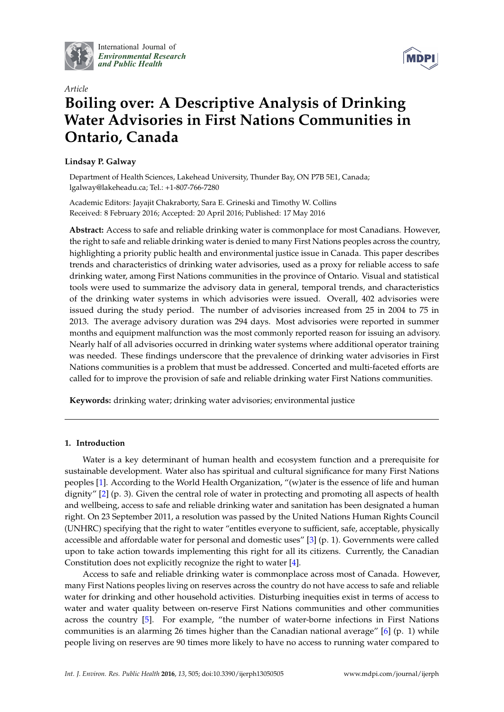

International Journal of *[Environmental Research](http://www.mdpi.com/journal/ijerph) and Public Health*



# *Article* **Boiling over: A Descriptive Analysis of Drinking Water Advisories in First Nations Communities in Ontario, Canada**

# **Lindsay P. Galway**

Department of Health Sciences, Lakehead University, Thunder Bay, ON P7B 5E1, Canada; lgalway@lakeheadu.ca; Tel.: +1-807-766-7280

Academic Editors: Jayajit Chakraborty, Sara E. Grineski and Timothy W. Collins Received: 8 February 2016; Accepted: 20 April 2016; Published: 17 May 2016

**Abstract:** Access to safe and reliable drinking water is commonplace for most Canadians. However, the right to safe and reliable drinking water is denied to many First Nations peoples across the country, highlighting a priority public health and environmental justice issue in Canada. This paper describes trends and characteristics of drinking water advisories, used as a proxy for reliable access to safe drinking water, among First Nations communities in the province of Ontario. Visual and statistical tools were used to summarize the advisory data in general, temporal trends, and characteristics of the drinking water systems in which advisories were issued. Overall, 402 advisories were issued during the study period. The number of advisories increased from 25 in 2004 to 75 in 2013. The average advisory duration was 294 days. Most advisories were reported in summer months and equipment malfunction was the most commonly reported reason for issuing an advisory. Nearly half of all advisories occurred in drinking water systems where additional operator training was needed. These findings underscore that the prevalence of drinking water advisories in First Nations communities is a problem that must be addressed. Concerted and multi-faceted efforts are called for to improve the provision of safe and reliable drinking water First Nations communities.

**Keywords:** drinking water; drinking water advisories; environmental justice

## **1. Introduction**

Water is a key determinant of human health and ecosystem function and a prerequisite for sustainable development. Water also has spiritual and cultural significance for many First Nations peoples [\[1\]](#page-11-0). According to the World Health Organization, "(w)ater is the essence of life and human dignity" [\[2\]](#page-11-1) (p. 3). Given the central role of water in protecting and promoting all aspects of health and wellbeing, access to safe and reliable drinking water and sanitation has been designated a human right. On 23 September 2011, a resolution was passed by the United Nations Human Rights Council (UNHRC) specifying that the right to water "entitles everyone to sufficient, safe, acceptable, physically accessible and affordable water for personal and domestic uses" [\[3\]](#page-11-2) (p. 1). Governments were called upon to take action towards implementing this right for all its citizens. Currently, the Canadian Constitution does not explicitly recognize the right to water [\[4\]](#page-11-3).

Access to safe and reliable drinking water is commonplace across most of Canada. However, many First Nations peoples living on reserves across the country do not have access to safe and reliable water for drinking and other household activities. Disturbing inequities exist in terms of access to water and water quality between on-reserve First Nations communities and other communities across the country [\[5\]](#page-11-4). For example, "the number of water-borne infections in First Nations communities is an alarming 26 times higher than the Canadian national average" [\[6\]](#page-11-5) (p. 1) while people living on reserves are 90 times more likely to have no access to running water compared to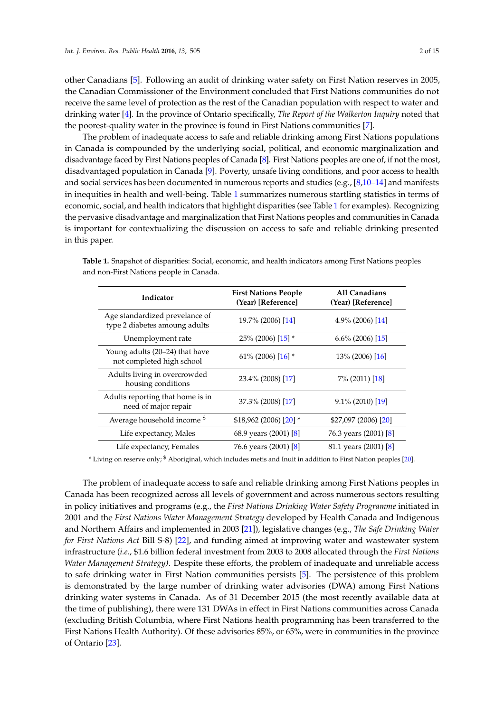other Canadians [\[5\]](#page-11-4). Following an audit of drinking water safety on First Nation reserves in 2005, the Canadian Commissioner of the Environment concluded that First Nations communities do not receive the same level of protection as the rest of the Canadian population with respect to water and drinking water [\[4\]](#page-11-3). In the province of Ontario specifically, *The Report of the Walkerton Inquiry* noted that the poorest-quality water in the province is found in First Nations communities [\[7\]](#page-11-6).

The problem of inadequate access to safe and reliable drinking among First Nations populations in Canada is compounded by the underlying social, political, and economic marginalization and disadvantage faced by First Nations peoples of Canada [\[8\]](#page-11-7). First Nations peoples are one of, if not the most, disadvantaged population in Canada [\[9\]](#page-11-8). Poverty, unsafe living conditions, and poor access to health and social services has been documented in numerous reports and studies (e.g., [\[8](#page-11-7)[,10](#page-11-9)[–14\]](#page-11-10) and manifests in inequities in health and well-being. Table [1](#page-1-0) summarizes numerous startling statistics in terms of economic, social, and health indicators that highlight disparities (see Table [1](#page-1-0) for examples). Recognizing the pervasive disadvantage and marginalization that First Nations peoples and communities in Canada is important for contextualizing the discussion on access to safe and reliable drinking presented in this paper.

| Indicator                                                       | <b>First Nations People</b><br>(Year) [Reference] | All Canadians<br>(Year) [Reference] |
|-----------------------------------------------------------------|---------------------------------------------------|-------------------------------------|
| Age standardized prevelance of<br>type 2 diabetes amoung adults | 19.7% (2006) [14]                                 | $4.9\%$ (2006) [14]                 |
| Unemployment rate                                               | 25% (2006) [15] *                                 | $6.6\%$ (2006) [15]                 |
| Young adults (20-24) that have<br>not completed high school     | 61\% (2006) $[16]$ *                              | $13\%$ (2006) [16]                  |
| Adults living in overcrowded<br>housing conditions              | 23.4% (2008) [17]                                 | 7% (2011) [18]                      |
| Adults reporting that home is in<br>need of major repair        | 37.3% (2008) [17]                                 | $9.1\%$ (2010) [19]                 |
| Average household income <sup>\$</sup>                          | $$18,962(2006)[20]*$                              | \$27,097 (2006) [20]                |
| Life expectancy, Males                                          | 68.9 years (2001) [8]                             | 76.3 years (2001) [8]               |
| Life expectancy, Females                                        | 76.6 years (2001) [8]                             | 81.1 years (2001) [8]               |

<span id="page-1-0"></span>**Table 1.** Snapshot of disparities: Social, economic, and health indicators among First Nations peoples and non-First Nations people in Canada.

\* Living on reserve only; \$ Aboriginal, which includes metis and Inuit in addition to First Nation peoples [\[20\]](#page-12-1).

The problem of inadequate access to safe and reliable drinking among First Nations peoples in Canada has been recognized across all levels of government and across numerous sectors resulting in policy initiatives and programs (e.g., the *First Nations Drinking Water Safety Programme* initiated in 2001 and the *First Nations Water Management Strategy* developed by Health Canada and Indigenous and Northern Affairs and implemented in 2003 [\[21\]](#page-12-2)), legislative changes (e.g., *The Safe Drinking Water for First Nations Act* Bill S-8) [\[22\]](#page-12-3), and funding aimed at improving water and wastewater system infrastructure (*i.e.*, \$1.6 billion federal investment from 2003 to 2008 allocated through the *First Nations Water Management Strategy)*. Despite these efforts, the problem of inadequate and unreliable access to safe drinking water in First Nation communities persists [\[5\]](#page-11-4). The persistence of this problem is demonstrated by the large number of drinking water advisories (DWA) among First Nations drinking water systems in Canada. As of 31 December 2015 (the most recently available data at the time of publishing), there were 131 DWAs in effect in First Nations communities across Canada (excluding British Columbia, where First Nations health programming has been transferred to the First Nations Health Authority). Of these advisories 85%, or 65%, were in communities in the province of Ontario [\[23\]](#page-12-4).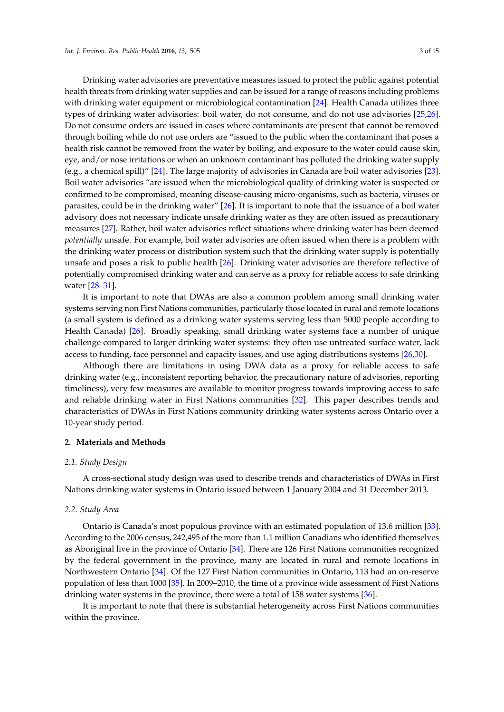Drinking water advisories are preventative measures issued to protect the public against potential health threats from drinking water supplies and can be issued for a range of reasons including problems with drinking water equipment or microbiological contamination [\[24\]](#page-12-5). Health Canada utilizes three types of drinking water advisories: boil water, do not consume, and do not use advisories [\[25,](#page-12-6)[26\]](#page-12-7). Do not consume orders are issued in cases where contaminants are present that cannot be removed through boiling while do not use orders are "issued to the public when the contaminant that poses a health risk cannot be removed from the water by boiling, and exposure to the water could cause skin, eye, and/or nose irritations or when an unknown contaminant has polluted the drinking water supply (e.g., a chemical spill)" [\[24\]](#page-12-5). The large majority of advisories in Canada are boil water advisories [\[23\]](#page-12-4). Boil water advisories "are issued when the microbiological quality of drinking water is suspected or confirmed to be compromised, meaning disease-causing micro-organisms, such as bacteria, viruses or parasites, could be in the drinking water" [\[26\]](#page-12-7). It is important to note that the issuance of a boil water advisory does not necessary indicate unsafe drinking water as they are often issued as precautionary measures [\[27\]](#page-12-8). Rather, boil water advisories reflect situations where drinking water has been deemed *potentially* unsafe. For example, boil water advisories are often issued when there is a problem with the drinking water process or distribution system such that the drinking water supply is potentially unsafe and poses a risk to public health [\[26\]](#page-12-7). Drinking water advisories are therefore reflective of potentially compromised drinking water and can serve as a proxy for reliable access to safe drinking water [\[28](#page-12-9)[–31\]](#page-12-10).

It is important to note that DWAs are also a common problem among small drinking water systems serving non First Nations communities, particularly those located in rural and remote locations (a small system is defined as a drinking water systems serving less than 5000 people according to Health Canada) [\[26\]](#page-12-7). Broadly speaking, small drinking water systems face a number of unique challenge compared to larger drinking water systems: they often use untreated surface water, lack access to funding, face personnel and capacity issues, and use aging distributions systems [\[26,](#page-12-7)[30\]](#page-12-11).

Although there are limitations in using DWA data as a proxy for reliable access to safe drinking water (e.g., inconsistent reporting behavior, the precautionary nature of advisories, reporting timeliness), very few measures are available to monitor progress towards improving access to safe and reliable drinking water in First Nations communities [\[32\]](#page-12-12). This paper describes trends and characteristics of DWAs in First Nations community drinking water systems across Ontario over a 10-year study period.

## **2. Materials and Methods**

#### *2.1. Study Design*

A cross-sectional study design was used to describe trends and characteristics of DWAs in First Nations drinking water systems in Ontario issued between 1 January 2004 and 31 December 2013.

#### *2.2. Study Area*

Ontario is Canada's most populous province with an estimated population of 13.6 million [\[33\]](#page-12-13). According to the 2006 census, 242,495 of the more than 1.1 million Canadians who identified themselves as Aboriginal live in the province of Ontario [\[34\]](#page-12-14). There are 126 First Nations communities recognized by the federal government in the province, many are located in rural and remote locations in Northwestern Ontario [\[34\]](#page-12-14). Of the 127 First Nation communities in Ontario, 113 had an on-reserve population of less than 1000 [\[35\]](#page-12-15). In 2009–2010, the time of a province wide assessment of First Nations drinking water systems in the province, there were a total of 158 water systems [\[36\]](#page-12-16).

It is important to note that there is substantial heterogeneity across First Nations communities within the province.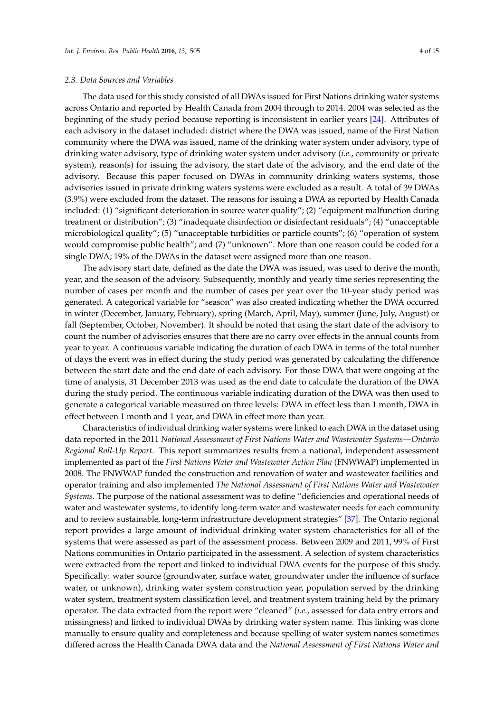The data used for this study consisted of all DWAs issued for First Nations drinking water systems across Ontario and reported by Health Canada from 2004 through to 2014. 2004 was selected as the beginning of the study period because reporting is inconsistent in earlier years [\[24\]](#page-12-5). Attributes of each advisory in the dataset included: district where the DWA was issued, name of the First Nation community where the DWA was issued, name of the drinking water system under advisory, type of drinking water advisory, type of drinking water system under advisory (*i.e.*, community or private system), reason(s) for issuing the advisory, the start date of the advisory, and the end date of the advisory. Because this paper focused on DWAs in community drinking waters systems, those advisories issued in private drinking waters systems were excluded as a result. A total of 39 DWAs (3.9%) were excluded from the dataset. The reasons for issuing a DWA as reported by Health Canada included: (1) "significant deterioration in source water quality"; (2) "equipment malfunction during treatment or distribution"; (3) "inadequate disinfection or disinfectant residuals"; (4) "unacceptable microbiological quality"; (5) "unacceptable turbidities or particle counts"; (6) "operation of system would compromise public health"; and (7) "unknown". More than one reason could be coded for a single DWA; 19% of the DWAs in the dataset were assigned more than one reason.

The advisory start date, defined as the date the DWA was issued, was used to derive the month, year, and the season of the advisory. Subsequently, monthly and yearly time series representing the number of cases per month and the number of cases per year over the 10-year study period was generated. A categorical variable for "season" was also created indicating whether the DWA occurred in winter (December, January, February), spring (March, April, May), summer (June, July, August) or fall (September, October, November). It should be noted that using the start date of the advisory to count the number of advisories ensures that there are no carry over effects in the annual counts from year to year. A continuous variable indicating the duration of each DWA in terms of the total number of days the event was in effect during the study period was generated by calculating the difference between the start date and the end date of each advisory. For those DWA that were ongoing at the time of analysis, 31 December 2013 was used as the end date to calculate the duration of the DWA during the study period. The continuous variable indicating duration of the DWA was then used to generate a categorical variable measured on three levels: DWA in effect less than 1 month, DWA in effect between 1 month and 1 year, and DWA in effect more than year.

Characteristics of individual drinking water systems were linked to each DWA in the dataset using data reported in the 2011 *National Assessment of First Nations Water and Wastewater Systems—Ontario Regional Roll-Up Report.* This report summarizes results from a national, independent assessment implemented as part of the *First Nations Water and Wastewater Action Plan* (FNWWAP) implemented in 2008. The FNWWAP funded the construction and renovation of water and wastewater facilities and operator training and also implemented *The National Assessment of First Nations Water and Wastewater Systems.* The purpose of the national assessment was to define "deficiencies and operational needs of water and wastewater systems, to identify long-term water and wastewater needs for each community and to review sustainable, long-term infrastructure development strategies" [\[37\]](#page-12-17). The Ontario regional report provides a large amount of individual drinking water system characteristics for all of the systems that were assessed as part of the assessment process. Between 2009 and 2011, 99% of First Nations communities in Ontario participated in the assessment. A selection of system characteristics were extracted from the report and linked to individual DWA events for the purpose of this study. Specifically: water source (groundwater, surface water, groundwater under the influence of surface water, or unknown), drinking water system construction year, population served by the drinking water system, treatment system classification level, and treatment system training held by the primary operator. The data extracted from the report were "cleaned" (*i.e.*, assessed for data entry errors and missingness) and linked to individual DWAs by drinking water system name. This linking was done manually to ensure quality and completeness and because spelling of water system names sometimes differed across the Health Canada DWA data and the *National Assessment of First Nations Water and*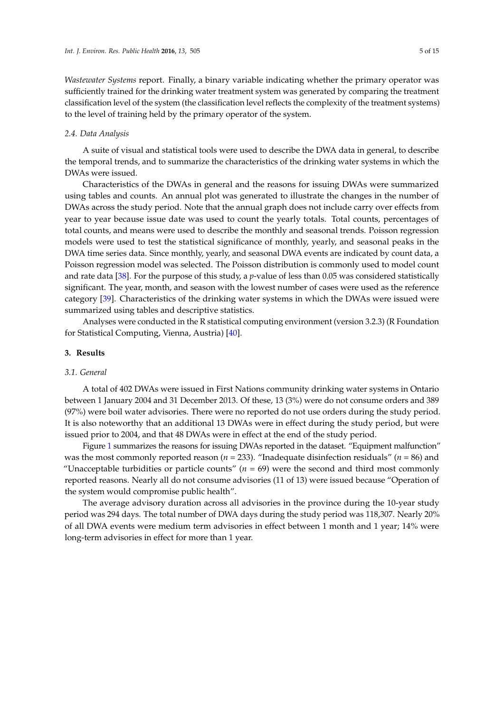*Wastewater Systems* report. Finally, a binary variable indicating whether the primary operator was sufficiently trained for the drinking water treatment system was generated by comparing the treatment classification level of the system (the classification level reflects the complexity of the treatment systems) to the level of training held by the primary operator of the system.

### *2.4. Data Analysis*

A suite of visual and statistical tools were used to describe the DWA data in general, to describe the temporal trends, and to summarize the characteristics of the drinking water systems in which the DWAs were issued.

Characteristics of the DWAs in general and the reasons for issuing DWAs were summarized using tables and counts. An annual plot was generated to illustrate the changes in the number of DWAs across the study period. Note that the annual graph does not include carry over effects from year to year because issue date was used to count the yearly totals. Total counts, percentages of total counts, and means were used to describe the monthly and seasonal trends. Poisson regression models were used to test the statistical significance of monthly, yearly, and seasonal peaks in the DWA time series data. Since monthly, yearly, and seasonal DWA events are indicated by count data, a Poisson regression model was selected. The Poisson distribution is commonly used to model count and rate data [\[38\]](#page-12-18). For the purpose of this study, a *p*-value of less than 0.05 was considered statistically significant. The year, month, and season with the lowest number of cases were used as the reference category [\[39\]](#page-12-19). Characteristics of the drinking water systems in which the DWAs were issued were summarized using tables and descriptive statistics.

Analyses were conducted in the R statistical computing environment (version 3.2.3) (R Foundation for Statistical Computing, Vienna, Austria) [\[40\]](#page-12-20).

#### **3. Results**

#### *3.1. General*

A total of 402 DWAs were issued in First Nations community drinking water systems in Ontario between 1 January 2004 and 31 December 2013. Of these, 13 (3%) were do not consume orders and 389 (97%) were boil water advisories. There were no reported do not use orders during the study period. It is also noteworthy that an additional 13 DWAs were in effect during the study period, but were issued prior to 2004, and that 48 DWAs were in effect at the end of the study period.

Figure [1](#page-5-0) summarizes the reasons for issuing DWAs reported in the dataset. "Equipment malfunction" was the most commonly reported reason ( $n = 233$ ). "Inadequate disinfection residuals" ( $n = 86$ ) and "Unacceptable turbidities or particle counts"  $(n = 69)$  were the second and third most commonly reported reasons. Nearly all do not consume advisories (11 of 13) were issued because "Operation of the system would compromise public health".

The average advisory duration across all advisories in the province during the 10-year study period was 294 days. The total number of DWA days during the study period was 118,307. Nearly 20% of all DWA events were medium term advisories in effect between 1 month and 1 year; 14% were long-term advisories in effect for more than 1 year.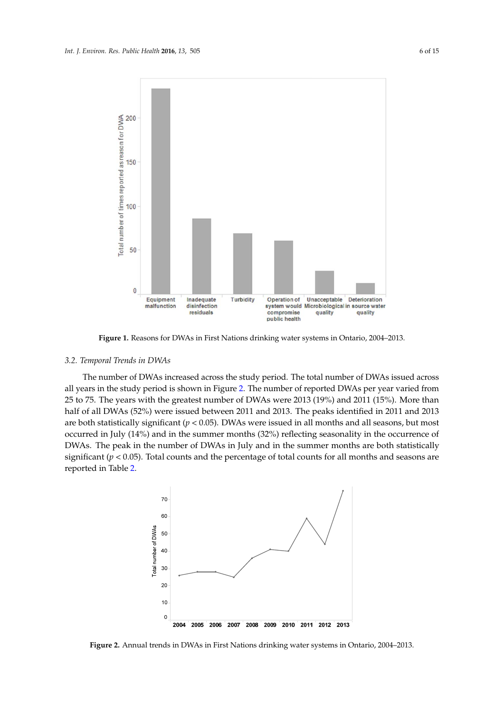<span id="page-5-0"></span>

**Figure 1.** Reasons for DWAs in First Nations drinking water systems in Ontario, 2004–2013. **Figure 1.** Reasons for DWAs in First Nations drinking water systems in Ontario, 2004–2013.

#### The number of DWAs increased across the study period. The total number of DWAs issued *3.2. Temporal Trends in DWAs*

across all years in the study period is shown in Figure 2. The number of reported DWAs per year The number of DWAs increased across the study period. The total number of DWAs issued across all years in the study period is shown in Figure [2.](#page-5-1) The number of reported DWAs per year varied from 25 to 75. The years with the greatest number of DWAs were 2013 (19%) and 2011 (15%). More than  $\mathbf{D}^{MA}$  (52%) reflecting in the summer  $2011$  and  $2012$ . The summer identified in  $2011$ half of all DWAs (52%) were issued between 2011 and 2013. The peaks identified in 2011 and 2013 are both statistically significant (*p* < 0.05). DWAs were issued in all months and all seasons, but most occurred in July (14%) and in the summer months (32%) reflecting seasonality in the occurrence of DWAs. The peak in the number of DWAs in July and in the summer months are both statistically significant (*p* < 0.05). Total counts and the percentage of total counts for all months and seasons are reported in Table *Int. J. Environ.* [2.](#page-6-0)*Res. Public Health* **<sup>2016</sup>**, *<sup>13</sup>*, <sup>505</sup> <sup>7</sup> of <sup>15</sup>

<span id="page-5-1"></span>

**Figure 2.** Annual trends in DWAs in First Nations drinking water systems in Ontario, 2004–2013. **Figure 2.** Annual trends in DWAs in First Nations drinking water systems in Ontario, 2004–2013.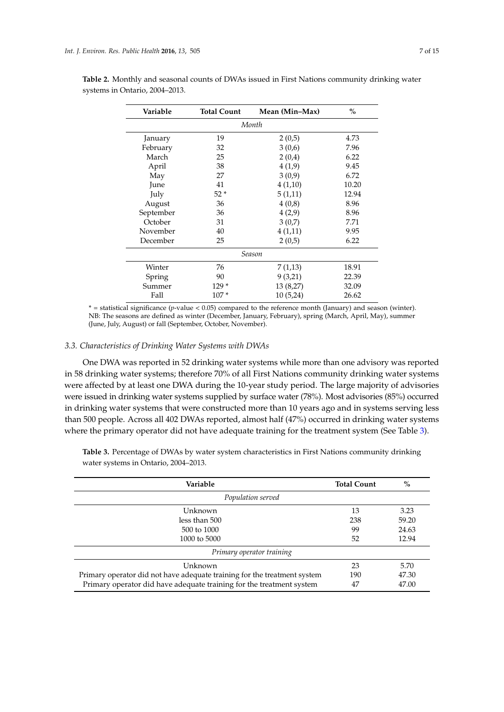| о, 2004–2013. |                    | and beabonal counts of B with hours in Fifter valid to community armitting we |               |  |
|---------------|--------------------|-------------------------------------------------------------------------------|---------------|--|
| Variable      | <b>Total Count</b> | Mean (Min–Max)                                                                | $\frac{9}{0}$ |  |
|               |                    | Month                                                                         |               |  |
| January       | 19                 | 2(0,5)                                                                        | 4.73          |  |

<span id="page-6-0"></span>

| Table 2. Monthly and seasonal counts of DWAs issued in First Nations community drinking water |  |  |
|-----------------------------------------------------------------------------------------------|--|--|
| systems in Ontario, 2004–2013.                                                                |  |  |

February 32 3 (0,6) 7.96 March 25 2 (0,4) 6.22 April 38 4 (1,9) 9.45 May 27 3 (0,9) 6.72 June  $41$   $4(1,10)$   $10.20$ July  $52 * 5 (1,11)$  12.94 August 36 4 (0,8) 8.96 September 36 4 (2,9) 8.96 October 31 3 (0,7) 7.71 November 40 4 (1,11) 9.95<br>December 25 2 (0,5) 6.22

Spring 90 9 9 9 9 9 9 9 9 9 9 22.39 Summer 129 \* 13 (8,27) 32.09 Fall 107 \* 10 (5,24) 26.62 \* = statistical significance (*p*-value < 0.05) compared to the reference month (January) and season (winter). NB: The seasons are defined as winter (December, January, February), spring (March, April, May), summer (June, July, August) or fall (September, October, November).

*Season* Winter 76 7 (1,13) 18.91

December 25 2 (0,5)

*3.3. Characteristics of Drinking Water Systems with DWAs*

One DWA was reported in 52 drinking water systems while more than one advisory was reported in 58 drinking water systems; therefore 70% of all First Nations community drinking water systems were affected by at least one DWA during the 10-year study period. The large majority of advisories were issued in drinking water systems supplied by surface water (78%). Most advisories (85%) occurred in drinking water systems that were constructed more than 10 years ago and in systems serving less than 500 people. Across all 402 DWAs reported, almost half (47%) occurred in drinking water systems where the primary operator did not have adequate training for the treatment system (See Table [3\)](#page-7-0).

**Table 3.** Percentage of DWAs by water system characteristics in First Nations community drinking water systems in Ontario, 2004–2013.

| Variable                                                                 | <b>Total Count</b> | $\%$  |
|--------------------------------------------------------------------------|--------------------|-------|
| Population served                                                        |                    |       |
| Unknown                                                                  | 13                 | 3.23  |
| less than 500                                                            | 238                | 59.20 |
| $500 \text{ to } 1000$                                                   | 99                 | 24.63 |
| 1000 to 5000                                                             | 52                 | 12.94 |
| Primary operator training                                                |                    |       |
| Unknown                                                                  | 23                 | 5.70  |
| Primary operator did not have adequate training for the treatment system | 190                | 47.30 |
| Primary operator did have adequate training for the treatment system     | 47                 | 47.00 |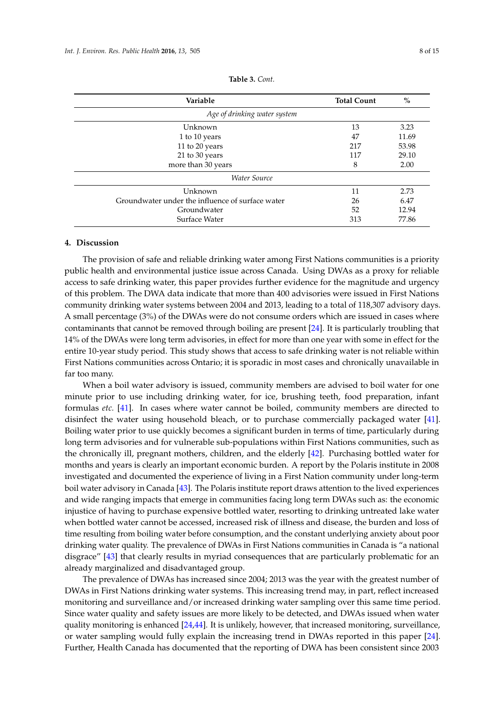<span id="page-7-0"></span>

| Variable                                         | <b>Total Count</b> | $\%$  |
|--------------------------------------------------|--------------------|-------|
| Age of drinking water system                     |                    |       |
| Unknown                                          | 13                 | 3.23  |
| 1 to 10 years                                    | 47                 | 11.69 |
| 11 to 20 years                                   | 217                | 53.98 |
| 21 to 30 years                                   | 117                | 29.10 |
| more than 30 years                               | 8                  | 2.00  |
| Water Source                                     |                    |       |
| Unknown                                          | 11                 | 2.73  |
| Groundwater under the influence of surface water | 26                 | 6.47  |
| Groundwater                                      | 52                 | 12.94 |
| Surface Water                                    | 313                | 77.86 |

**Table 3.** *Cont.*

#### **4. Discussion**

The provision of safe and reliable drinking water among First Nations communities is a priority public health and environmental justice issue across Canada. Using DWAs as a proxy for reliable access to safe drinking water, this paper provides further evidence for the magnitude and urgency of this problem. The DWA data indicate that more than 400 advisories were issued in First Nations community drinking water systems between 2004 and 2013, leading to a total of 118,307 advisory days. A small percentage (3%) of the DWAs were do not consume orders which are issued in cases where contaminants that cannot be removed through boiling are present [\[24\]](#page-12-5). It is particularly troubling that 14% of the DWAs were long term advisories, in effect for more than one year with some in effect for the entire 10-year study period. This study shows that access to safe drinking water is not reliable within First Nations communities across Ontario; it is sporadic in most cases and chronically unavailable in far too many.

When a boil water advisory is issued, community members are advised to boil water for one minute prior to use including drinking water, for ice, brushing teeth, food preparation, infant formulas *etc.* [\[41\]](#page-12-21). In cases where water cannot be boiled, community members are directed to disinfect the water using household bleach, or to purchase commercially packaged water [\[41\]](#page-12-21). Boiling water prior to use quickly becomes a significant burden in terms of time, particularly during long term advisories and for vulnerable sub-populations within First Nations communities, such as the chronically ill, pregnant mothers, children, and the elderly [\[42\]](#page-12-22). Purchasing bottled water for months and years is clearly an important economic burden. A report by the Polaris institute in 2008 investigated and documented the experience of living in a First Nation community under long-term boil water advisory in Canada [\[43\]](#page-13-0). The Polaris institute report draws attention to the lived experiences and wide ranging impacts that emerge in communities facing long term DWAs such as: the economic injustice of having to purchase expensive bottled water, resorting to drinking untreated lake water when bottled water cannot be accessed, increased risk of illness and disease, the burden and loss of time resulting from boiling water before consumption, and the constant underlying anxiety about poor drinking water quality. The prevalence of DWAs in First Nations communities in Canada is "a national disgrace" [\[43\]](#page-13-0) that clearly results in myriad consequences that are particularly problematic for an already marginalized and disadvantaged group.

The prevalence of DWAs has increased since 2004; 2013 was the year with the greatest number of DWAs in First Nations drinking water systems. This increasing trend may, in part, reflect increased monitoring and surveillance and/or increased drinking water sampling over this same time period. Since water quality and safety issues are more likely to be detected, and DWAs issued when water quality monitoring is enhanced  $[24,44]$  $[24,44]$ . It is unlikely, however, that increased monitoring, surveillance, or water sampling would fully explain the increasing trend in DWAs reported in this paper [\[24\]](#page-12-5). Further, Health Canada has documented that the reporting of DWA has been consistent since 2003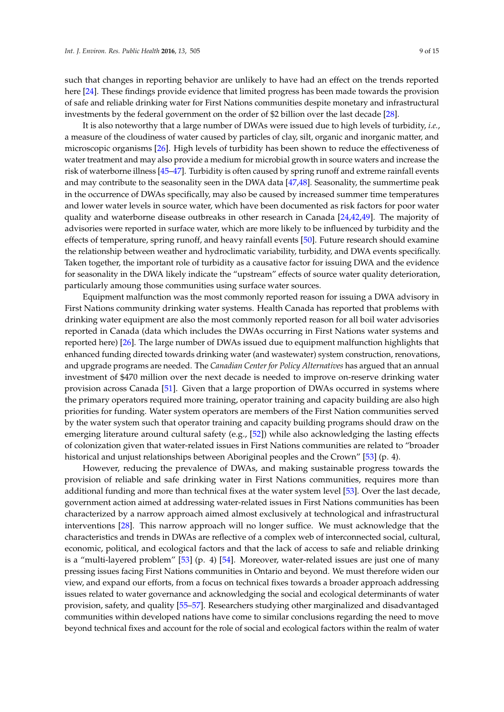such that changes in reporting behavior are unlikely to have had an effect on the trends reported here [\[24\]](#page-12-5). These findings provide evidence that limited progress has been made towards the provision of safe and reliable drinking water for First Nations communities despite monetary and infrastructural investments by the federal government on the order of \$2 billion over the last decade [\[28\]](#page-12-9).

It is also noteworthy that a large number of DWAs were issued due to high levels of turbidity, *i.e.*, a measure of the cloudiness of water caused by particles of clay, silt, organic and inorganic matter, and microscopic organisms [\[26\]](#page-12-7). High levels of turbidity has been shown to reduce the effectiveness of water treatment and may also provide a medium for microbial growth in source waters and increase the risk of waterborne illness [\[45–](#page-13-2)[47\]](#page-13-3). Turbidity is often caused by spring runoff and extreme rainfall events and may contribute to the seasonality seen in the DWA data [\[47,](#page-13-3)[48\]](#page-13-4). Seasonality, the summertime peak in the occurrence of DWAs specifically, may also be caused by increased summer time temperatures and lower water levels in source water, which have been documented as risk factors for poor water quality and waterborne disease outbreaks in other research in Canada [\[24](#page-12-5)[,42](#page-12-22)[,49\]](#page-13-5). The majority of advisories were reported in surface water, which are more likely to be influenced by turbidity and the effects of temperature, spring runoff, and heavy rainfall events [\[50\]](#page-13-6). Future research should examine the relationship between weather and hydroclimatic variability, turbidity, and DWA events specifically. Taken together, the important role of turbidity as a causative factor for issuing DWA and the evidence for seasonality in the DWA likely indicate the "upstream" effects of source water quality deterioration, particularly amoung those communities using surface water sources.

Equipment malfunction was the most commonly reported reason for issuing a DWA advisory in First Nations community drinking water systems. Health Canada has reported that problems with drinking water equipment are also the most commonly reported reason for all boil water advisories reported in Canada (data which includes the DWAs occurring in First Nations water systems and reported here) [\[26\]](#page-12-7). The large number of DWAs issued due to equipment malfunction highlights that enhanced funding directed towards drinking water (and wastewater) system construction, renovations, and upgrade programs are needed. The *Canadian Center for Policy Alternatives* has argued that an annual investment of \$470 million over the next decade is needed to improve on-reserve drinking water provision across Canada [\[51\]](#page-13-7). Given that a large proportion of DWAs occurred in systems where the primary operators required more training, operator training and capacity building are also high priorities for funding. Water system operators are members of the First Nation communities served by the water system such that operator training and capacity building programs should draw on the emerging literature around cultural safety (e.g., [\[52\]](#page-13-8)) while also acknowledging the lasting effects of colonization given that water-related issues in First Nations communities are related to "broader historical and unjust relationships between Aboriginal peoples and the Crown" [\[53\]](#page-13-9) (p. 4).

However, reducing the prevalence of DWAs, and making sustainable progress towards the provision of reliable and safe drinking water in First Nations communities, requires more than additional funding and more than technical fixes at the water system level [\[53\]](#page-13-9). Over the last decade, government action aimed at addressing water-related issues in First Nations communities has been characterized by a narrow approach aimed almost exclusively at technological and infrastructural interventions [\[28\]](#page-12-9). This narrow approach will no longer suffice. We must acknowledge that the characteristics and trends in DWAs are reflective of a complex web of interconnected social, cultural, economic, political, and ecological factors and that the lack of access to safe and reliable drinking is a "multi-layered problem"  $[53]$  (p. 4)  $[54]$ . Moreover, water-related issues are just one of many pressing issues facing First Nations communities in Ontario and beyond. We must therefore widen our view, and expand our efforts, from a focus on technical fixes towards a broader approach addressing issues related to water governance and acknowledging the social and ecological determinants of water provision, safety, and quality [\[55–](#page-13-11)[57\]](#page-13-12). Researchers studying other marginalized and disadvantaged communities within developed nations have come to similar conclusions regarding the need to move beyond technical fixes and account for the role of social and ecological factors within the realm of water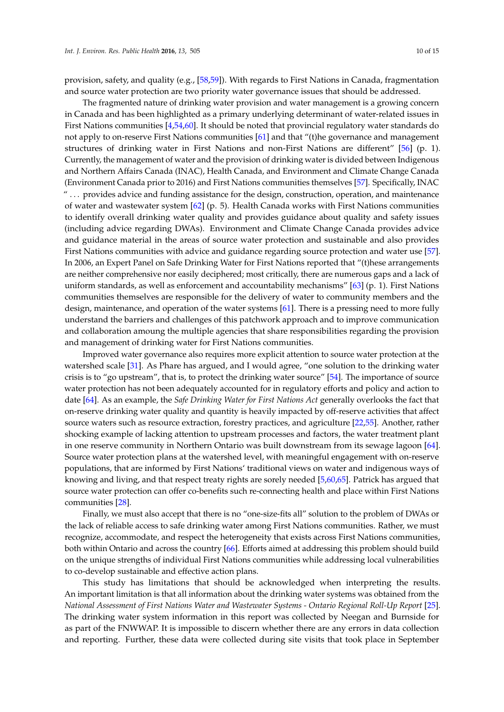provision, safety, and quality (e.g., [\[58,](#page-13-13)[59\]](#page-13-14)). With regards to First Nations in Canada, fragmentation and source water protection are two priority water governance issues that should be addressed.

The fragmented nature of drinking water provision and water management is a growing concern in Canada and has been highlighted as a primary underlying determinant of water-related issues in First Nations communities [\[4,](#page-11-3)[54](#page-13-10)[,60\]](#page-13-15). It should be noted that provincial regulatory water standards do not apply to on-reserve First Nations communities [\[61\]](#page-13-16) and that "(t)he governance and management structures of drinking water in First Nations and non-First Nations are different" [\[56\]](#page-13-17) (p. 1). Currently, the management of water and the provision of drinking water is divided between Indigenous and Northern Affairs Canada (INAC), Health Canada, and Environment and Climate Change Canada (Environment Canada prior to 2016) and First Nations communities themselves [\[57\]](#page-13-12). Specifically, INAC " . . . provides advice and funding assistance for the design, construction, operation, and maintenance of water and wastewater system  $[62]$  (p. 5). Health Canada works with First Nations communities to identify overall drinking water quality and provides guidance about quality and safety issues (including advice regarding DWAs). Environment and Climate Change Canada provides advice and guidance material in the areas of source water protection and sustainable and also provides First Nations communities with advice and guidance regarding source protection and water use [\[57\]](#page-13-12). In 2006, an Expert Panel on Safe Drinking Water for First Nations reported that "(t)hese arrangements are neither comprehensive nor easily deciphered; most critically, there are numerous gaps and a lack of uniform standards, as well as enforcement and accountability mechanisms" [\[63\]](#page-13-19) (p. 1). First Nations communities themselves are responsible for the delivery of water to community members and the design, maintenance, and operation of the water systems [\[61\]](#page-13-16). There is a pressing need to more fully understand the barriers and challenges of this patchwork approach and to improve communication and collaboration amoung the multiple agencies that share responsibilities regarding the provision and management of drinking water for First Nations communities.

Improved water governance also requires more explicit attention to source water protection at the watershed scale [\[31\]](#page-12-10). As Phare has argued, and I would agree, "one solution to the drinking water crisis is to "go upstream", that is, to protect the drinking water source" [\[54\]](#page-13-10). The importance of source water protection has not been adequately accounted for in regulatory efforts and policy and action to date [\[64\]](#page-13-20). As an example, the *Safe Drinking Water for First Nations Act* generally overlooks the fact that on-reserve drinking water quality and quantity is heavily impacted by off-reserve activities that affect source waters such as resource extraction, forestry practices, and agriculture [\[22](#page-12-3)[,55\]](#page-13-11). Another, rather shocking example of lacking attention to upstream processes and factors, the water treatment plant in one reserve community in Northern Ontario was built downstream from its sewage lagoon [\[64\]](#page-13-20). Source water protection plans at the watershed level, with meaningful engagement with on-reserve populations, that are informed by First Nations' traditional views on water and indigenous ways of knowing and living, and that respect treaty rights are sorely needed [\[5,](#page-11-4)[60,](#page-13-15)[65\]](#page-13-21). Patrick has argued that source water protection can offer co-benefits such re-connecting health and place within First Nations communities [\[28\]](#page-12-9).

Finally, we must also accept that there is no "one-size-fits all" solution to the problem of DWAs or the lack of reliable access to safe drinking water among First Nations communities. Rather, we must recognize, accommodate, and respect the heterogeneity that exists across First Nations communities, both within Ontario and across the country [\[66\]](#page-13-22). Efforts aimed at addressing this problem should build on the unique strengths of individual First Nations communities while addressing local vulnerabilities to co-develop sustainable and effective action plans.

This study has limitations that should be acknowledged when interpreting the results. An important limitation is that all information about the drinking water systems was obtained from the *National Assessment of First Nations Water and Wastewater Systems - Ontario Regional Roll-Up Report* [\[25\]](#page-12-6). The drinking water system information in this report was collected by Neegan and Burnside for as part of the FNWWAP. It is impossible to discern whether there are any errors in data collection and reporting. Further, these data were collected during site visits that took place in September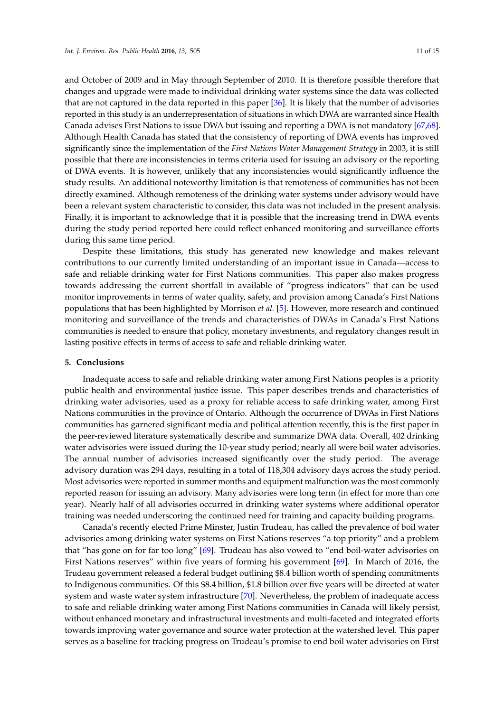and October of 2009 and in May through September of 2010. It is therefore possible therefore that changes and upgrade were made to individual drinking water systems since the data was collected that are not captured in the data reported in this paper [\[36\]](#page-12-16). It is likely that the number of advisories reported in this study is an underrepresentation of situations in which DWA are warranted since Health Canada advises First Nations to issue DWA but issuing and reporting a DWA is not mandatory [\[67](#page-14-0)[,68\]](#page-14-1). Although Health Canada has stated that the consistency of reporting of DWA events has improved significantly since the implementation of the *First Nations Water Management Strategy* in 2003, it is still possible that there are inconsistencies in terms criteria used for issuing an advisory or the reporting of DWA events. It is however, unlikely that any inconsistencies would significantly influence the study results. An additional noteworthy limitation is that remoteness of communities has not been directly examined. Although remoteness of the drinking water systems under advisory would have been a relevant system characteristic to consider, this data was not included in the present analysis. Finally, it is important to acknowledge that it is possible that the increasing trend in DWA events during the study period reported here could reflect enhanced monitoring and surveillance efforts during this same time period.

Despite these limitations, this study has generated new knowledge and makes relevant contributions to our currently limited understanding of an important issue in Canada—access to safe and reliable drinking water for First Nations communities. This paper also makes progress towards addressing the current shortfall in available of "progress indicators" that can be used monitor improvements in terms of water quality, safety, and provision among Canada's First Nations populations that has been highlighted by Morrison *et al.* [\[5\]](#page-11-4). However, more research and continued monitoring and surveillance of the trends and characteristics of DWAs in Canada's First Nations communities is needed to ensure that policy, monetary investments, and regulatory changes result in lasting positive effects in terms of access to safe and reliable drinking water.

#### **5. Conclusions**

Inadequate access to safe and reliable drinking water among First Nations peoples is a priority public health and environmental justice issue. This paper describes trends and characteristics of drinking water advisories, used as a proxy for reliable access to safe drinking water, among First Nations communities in the province of Ontario. Although the occurrence of DWAs in First Nations communities has garnered significant media and political attention recently, this is the first paper in the peer-reviewed literature systematically describe and summarize DWA data. Overall, 402 drinking water advisories were issued during the 10-year study period; nearly all were boil water advisories. The annual number of advisories increased significantly over the study period. The average advisory duration was 294 days, resulting in a total of 118,304 advisory days across the study period. Most advisories were reported in summer months and equipment malfunction was the most commonly reported reason for issuing an advisory. Many advisories were long term (in effect for more than one year). Nearly half of all advisories occurred in drinking water systems where additional operator training was needed underscoring the continued need for training and capacity building programs.

Canada's recently elected Prime Minster, Justin Trudeau, has called the prevalence of boil water advisories among drinking water systems on First Nations reserves "a top priority" and a problem that "has gone on for far too long" [\[69\]](#page-14-2). Trudeau has also vowed to "end boil-water advisories on First Nations reserves" within five years of forming his government [\[69\]](#page-14-2). In March of 2016, the Trudeau government released a federal budget outlining \$8.4 billion worth of spending commitments to Indigenous communities. Of this \$8.4 billion, \$1.8 billion over five years will be directed at water system and waste water system infrastructure [\[70\]](#page-14-3). Nevertheless, the problem of inadequate access to safe and reliable drinking water among First Nations communities in Canada will likely persist, without enhanced monetary and infrastructural investments and multi-faceted and integrated efforts towards improving water governance and source water protection at the watershed level. This paper serves as a baseline for tracking progress on Trudeau's promise to end boil water advisories on First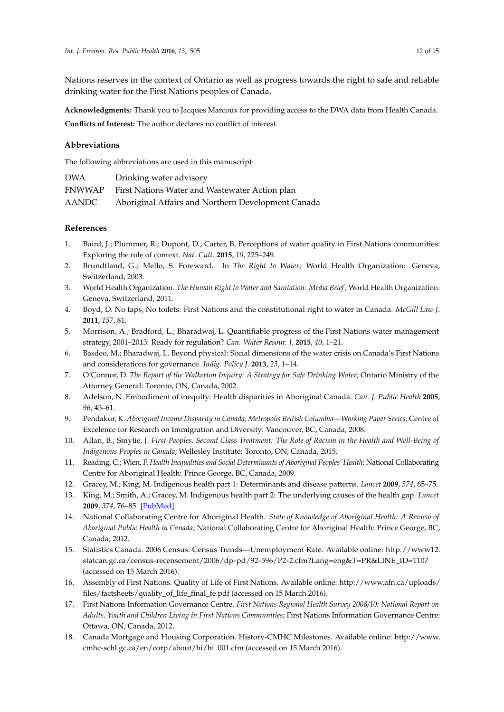Nations reserves in the context of Ontario as well as progress towards the right to safe and reliable drinking water for the First Nations peoples of Canada.

**Acknowledgments:** Thank you to Jacques Marcoux for providing access to the DWA data from Health Canada. **Conflicts of Interest:** The author declares no conflict of interest.

## **Abbreviations**

The following abbreviations are used in this manuscript:

| <b>DWA</b> | Drinking water advisory                            |
|------------|----------------------------------------------------|
| FNWWAP     | First Nations Water and Wastewater Action plan     |
| AANDC      | Aboriginal Affairs and Northern Development Canada |

## **References**

- <span id="page-11-0"></span>1. Baird, J.; Plummer, R.; Dupont, D.; Carter, B. Perceptions of water quality in First Nations communities: Exploring the role of context. *Nat. Cult.* **2015**, *10*, 225–249.
- <span id="page-11-1"></span>2. Brundtland, G.; Mello, S. Foreward. In *The Right to Water*; World Health Organization: Geneva, Switzerland, 2003.
- <span id="page-11-2"></span>3. World Health Organization. *The Human Right to Water and Sanitation: Media Brief*; World Health Organization: Geneva, Switzerland, 2011.
- <span id="page-11-3"></span>4. Boyd, D. No taps, No toilets: First Nations and the constitutional right to water in Canada. *McGill Law J.* **2011**, *157*, 81.
- <span id="page-11-4"></span>5. Morrison, A.; Bradford, L.; Bharadwaj, L. Quantifiable progress of the First Nations water management strategy, 2001–2013: Ready for regulation? *Can. Water Resour. J.* **2015**, *40*, 1–21.
- <span id="page-11-5"></span>6. Basdeo, M.; Bharadwaj, L. Beyond physical: Social dimensions of the water crisis on Canada's First Nations and considerations for governance. *Indig. Policy J.* **2013**, *23*, 1–14.
- <span id="page-11-6"></span>7. O'Connor, D. *The Report of the Walkerton Inquiry: A Strategy for Safe Drinking Water*; Ontario Ministry of the Attorney General: Toronto, ON, Canada, 2002.
- <span id="page-11-7"></span>8. Adelson, N. Embodiment of inequity: Health disparities in Aboriginal Canada. *Can. J. Public Health* **2005**, *96*, 45–61.
- <span id="page-11-8"></span>9. Pendakur, K. *Aboriginal Income Disparity in Canada, Metropolis British Columbia—Working Paper Series*; Centre of Excelence for Research on Immigration and Diversity: Vancouver, BC, Canada, 2008.
- <span id="page-11-9"></span>10. Allan, B.; Smylie, J. *First Peoples, Second Class Treatment: The Role of Racism in the Health and Well-Being of Indigenous Peoples in Canada*; Wellesley Institute: Toronto, ON, Canada, 2015.
- 11. Reading, C.; Wien, F. *Health Inequalities and Social Determinants of Aboriginal Peoples' Health*; National Collaborating Centre for Aboriginal Health: Prince George, BC, Canada, 2009.
- 12. Gracey, M.; King, M. Indigenous health part 1: Determinants and disease patterns. *Lancet* **2009**, *374*, 65–75.
- 13. King, M.; Smith, A.; Gracey, M. Indigenous health part 2: The underlying causes of the health gap. *Lancet* **2009**, *374*, 76–85. [\[PubMed\]](http://www.ncbi.nlm.nih.gov/pubmed/19577696)
- <span id="page-11-10"></span>14. National Collaborating Centre for Aboriginal Health. *State of Knowledge of Aboriginal Health: A Review of Aboriginal Public Health in Canada*; National Collaborating Centre for Aboriginal Health: Prince George, BC, Canada, 2012.
- <span id="page-11-11"></span>15. Statistics Canada. 2006 Census: Census Trends—Unemployment Rate. Available online: [http://www12.](http://www12.statcan.gc.ca/census-recensement/2006/dp-pd/92-596/P2-2.cfm?Lang=eng&T=PR&LINE_ID=1107) [statcan.gc.ca/census-recensement/2006/dp-pd/92-596/P2-2.cfm?Lang=eng&T=PR&LINE\\_ID=1107](http://www12.statcan.gc.ca/census-recensement/2006/dp-pd/92-596/P2-2.cfm?Lang=eng&T=PR&LINE_ID=1107) (accessed on 15 March 2016).
- <span id="page-11-12"></span>16. Assembly of First Nations. Quality of Life of First Nations. Available online: [http://www.afn.ca/uploads/](http://www.afn.ca/uploads/files/factsheets/quality_of_life_final_fe.pdf) [files/factsheets/quality\\_of\\_life\\_final\\_fe.pdf](http://www.afn.ca/uploads/files/factsheets/quality_of_life_final_fe.pdf) (accessed on 15 March 2016).
- <span id="page-11-13"></span>17. First Nations Information Governance Centre. *First Nations Regional Health Survey 2008/10: National Report on Adults, Youth and Children Living in First Nations Communities*; First Nations Information Governance Centre: Ottawa, ON, Canada, 2012.
- <span id="page-11-14"></span>18. Canada Mortgage and Housing Corporation. History-CMHC Milestones. Available online: [http://www.](http://www.cmhc-schl.gc.ca/en/corp/about/hi/hi_001.cfm) [cmhc-schl.gc.ca/en/corp/about/hi/hi\\_001.cfm](http://www.cmhc-schl.gc.ca/en/corp/about/hi/hi_001.cfm) (accessed on 15 March 2016).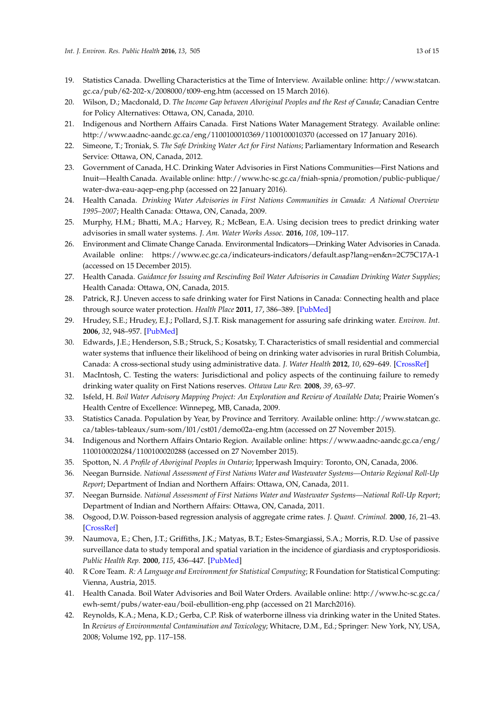- <span id="page-12-0"></span>19. Statistics Canada. Dwelling Characteristics at the Time of Interview. Available online: [http://www.statcan.](http://www.statcan.gc.ca/pub/62-202-x/2008000/t009-eng.htm) [gc.ca/pub/62-202-x/2008000/t009-eng.htm](http://www.statcan.gc.ca/pub/62-202-x/2008000/t009-eng.htm) (accessed on 15 March 2016).
- <span id="page-12-1"></span>20. Wilson, D.; Macdonald, D. *The Income Gap between Aboriginal Peoples and the Rest of Canada*; Canadian Centre for Policy Alternatives: Ottawa, ON, Canada, 2010.
- <span id="page-12-2"></span>21. Indigenous and Northern Affairs Canada. First Nations Water Management Strategy. Available online: <http://www.aadnc-aandc.gc.ca/eng/1100100010369/1100100010370> (accessed on 17 January 2016).
- <span id="page-12-3"></span>22. Simeone, T.; Troniak, S. *The Safe Drinking Water Act for First Nations*; Parliamentary Information and Research Service: Ottawa, ON, Canada, 2012.
- <span id="page-12-4"></span>23. Government of Canada, H.C. Drinking Water Advisories in First Nations Communities—First Nations and Inuit—Health Canada. Available online: [http://www.hc-sc.gc.ca/fniah-spnia/promotion/public-publique/](http://www.hc-sc.gc.ca/fniah-spnia/promotion/public-publique/water-dwa-eau-aqep-eng.php) [water-dwa-eau-aqep-eng.php](http://www.hc-sc.gc.ca/fniah-spnia/promotion/public-publique/water-dwa-eau-aqep-eng.php) (accessed on 22 January 2016).
- <span id="page-12-5"></span>24. Health Canada. *Drinking Water Advisories in First Nations Communities in Canada: A National Overview 1995–2007*; Health Canada: Ottawa, ON, Canada, 2009.
- <span id="page-12-6"></span>25. Murphy, H.M.; Bhatti, M.A.; Harvey, R.; McBean, E.A. Using decision trees to predict drinking water advisories in small water systems. *J. Am. Water Works Assoc.* **2016**, *108*, 109–117.
- <span id="page-12-7"></span>26. Environment and Climate Change Canada. Environmental Indicators—Drinking Water Advisories in Canada. Available online: https://www.ec.gc.ca/indicateurs-indicators/default.asp?lang=en&n=2C75C17A-1 (accessed on 15 December 2015).
- <span id="page-12-8"></span>27. Health Canada. *Guidance for Issuing and Rescinding Boil Water Advisories in Canadian Drinking Water Supplies*; Health Canada: Ottawa, ON, Canada, 2015.
- <span id="page-12-9"></span>28. Patrick, R.J. Uneven access to safe drinking water for First Nations in Canada: Connecting health and place through source water protection. *Health Place* **2011**, *17*, 386–389. [\[PubMed\]](http://www.ncbi.nlm.nih.gov/pubmed/21074479)
- 29. Hrudey, S.E.; Hrudey, E.J.; Pollard, S.J.T. Risk management for assuring safe drinking water. *Environ. Int.* **2006**, *32*, 948–957. [\[PubMed\]](http://www.ncbi.nlm.nih.gov/pubmed/16839605)
- <span id="page-12-11"></span>30. Edwards, J.E.; Henderson, S.B.; Struck, S.; Kosatsky, T. Characteristics of small residential and commercial water systems that influence their likelihood of being on drinking water advisories in rural British Columbia, Canada: A cross-sectional study using administrative data. *J. Water Health* **2012**, *10*, 629–649. [\[CrossRef\]](http://dx.doi.org/10.2166/wh.2012.046)
- <span id="page-12-10"></span>31. MacIntosh, C. Testing the waters: Jurisdictional and policy aspects of the continuing failure to remedy drinking water quality on First Nations reserves. *Ottawa Law Rev.* **2008**, *39*, 63–97.
- <span id="page-12-12"></span>32. Isfeld, H. *Boil Water Advisory Mapping Project: An Exploration and Review of Available Data*; Prairie Women's Health Centre of Excellence: Winnepeg, MB, Canada, 2009.
- <span id="page-12-13"></span>33. Statistics Canada. Population by Year, by Province and Territory. Available online: [http://www.statcan.gc.](http://www.statcan.gc.ca/tables-tableaux/sum-som/l01/cst01/demo02a-eng.htm) [ca/tables-tableaux/sum-som/l01/cst01/demo02a-eng.htm](http://www.statcan.gc.ca/tables-tableaux/sum-som/l01/cst01/demo02a-eng.htm) (accessed on 27 November 2015).
- <span id="page-12-14"></span>34. Indigenous and Northern Affairs Ontario Region. Available online: [https://www.aadnc-aandc.gc.ca/eng/](https://www.aadnc-aandc.gc.ca/eng/1100100020284/1100100020288) [1100100020284/1100100020288](https://www.aadnc-aandc.gc.ca/eng/1100100020284/1100100020288) (accessed on 27 November 2015).
- <span id="page-12-15"></span>35. Spotton, N. *A Profile of Aboriginal Peoples in Ontario*; Ipperwash Imquiry: Toronto, ON, Canada, 2006.
- <span id="page-12-16"></span>36. Neegan Burnside. *National Assessment of First Nations Water and Wastewater Systems—Ontario Regional Roll-Up Report*; Department of Indian and Northern Affairs: Ottawa, ON, Canada, 2011.
- <span id="page-12-17"></span>37. Neegan Burnside. *National Assessment of First Nations Water and Wastewater Systems—National Roll-Up Report*; Department of Indian and Northern Affairs: Ottawa, ON, Canada, 2011.
- <span id="page-12-18"></span>38. Osgood, D.W. Poisson-based regression analysis of aggregate crime rates. *J. Quant. Criminol.* **2000**, *16*, 21–43. [\[CrossRef\]](http://dx.doi.org/10.1023/A:1007521427059)
- <span id="page-12-19"></span>39. Naumova, E.; Chen, J.T.; Griffiths, J.K.; Matyas, B.T.; Estes-Smargiassi, S.A.; Morris, R.D. Use of passive surveillance data to study temporal and spatial variation in the incidence of giardiasis and cryptosporidiosis. *Public Health Rep.* **2000**, *115*, 436–447. [\[PubMed\]](http://www.ncbi.nlm.nih.gov/pubmed/11236016)
- <span id="page-12-20"></span>40. R Core Team. *R: A Language and Environment for Statistical Computing*; R Foundation for Statistical Computing: Vienna, Austria, 2015.
- <span id="page-12-21"></span>41. Health Canada. Boil Water Advisories and Boil Water Orders. Available online: [http://www.hc-sc.gc.ca/](http://www.hc-sc.gc.ca/ewh-semt/pubs/water-eau/boil-ebullition-eng.php) [ewh-semt/pubs/water-eau/boil-ebullition-eng.php](http://www.hc-sc.gc.ca/ewh-semt/pubs/water-eau/boil-ebullition-eng.php) (accessed on 21 March2016).
- <span id="page-12-22"></span>42. Reynolds, K.A.; Mena, K.D.; Gerba, C.P. Risk of waterborne illness via drinking water in the United States. In *Reviews of Environmental Contamination and Toxicology*; Whitacre, D.M., Ed.; Springer: New York, NY, USA, 2008; Volume 192, pp. 117–158.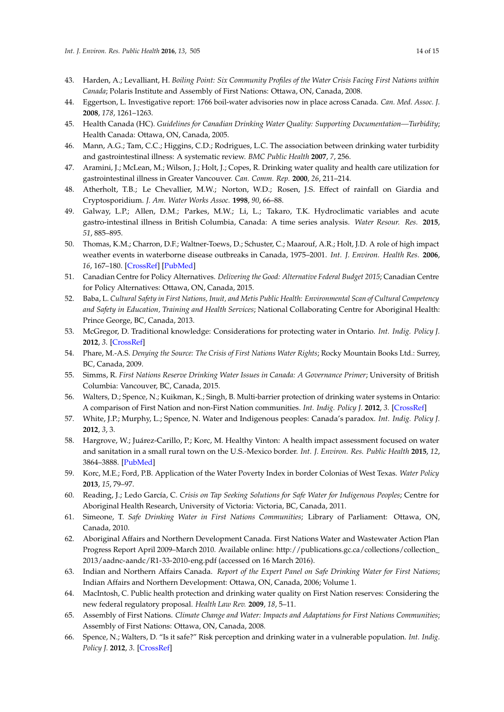- <span id="page-13-0"></span>43. Harden, A.; Levalliant, H. *Boiling Point: Six Community Profiles of the Water Crisis Facing First Nations within Canada*; Polaris Institute and Assembly of First Nations: Ottawa, ON, Canada, 2008.
- <span id="page-13-1"></span>44. Eggertson, L. Investigative report: 1766 boil-water advisories now in place across Canada. *Can. Med. Assoc. J.* **2008**, *178*, 1261–1263.
- <span id="page-13-2"></span>45. Health Canada (HC). *Guidelines for Canadian Drinking Water Quality: Supporting Documentation—Turbidity*; Health Canada: Ottawa, ON, Canada, 2005.
- 46. Mann, A.G.; Tam, C.C.; Higgins, C.D.; Rodrigues, L.C. The association between drinking water turbidity and gastrointestinal illness: A systematic review. *BMC Public Health* **2007**, *7*, 256.
- <span id="page-13-3"></span>47. Aramini, J.; McLean, M.; Wilson, J.; Holt, J.; Copes, R. Drinking water quality and health care utilization for gastrointestinal illness in Greater Vancouver. *Can. Comm. Rep.* **2000**, *26*, 211–214.
- <span id="page-13-4"></span>48. Atherholt, T.B.; Le Chevallier, M.W.; Norton, W.D.; Rosen, J.S. Effect of rainfall on Giardia and Cryptosporidium. *J. Am. Water Works Assoc.* **1998**, *90*, 66–88.
- <span id="page-13-5"></span>49. Galway, L.P.; Allen, D.M.; Parkes, M.W.; Li, L.; Takaro, T.K. Hydroclimatic variables and acute gastro-intestinal illness in British Columbia, Canada: A time series analysis. *Water Resour. Res.* **2015**, *51*, 885–895.
- <span id="page-13-6"></span>50. Thomas, K.M.; Charron, D.F.; Waltner-Toews, D.; Schuster, C.; Maarouf, A.R.; Holt, J.D. A role of high impact weather events in waterborne disease outbreaks in Canada, 1975–2001. *Int. J. Environ. Health Res.* **2006**, *16*, 167–180. [\[CrossRef\]](http://dx.doi.org/10.1080/09603120600641326) [\[PubMed\]](http://www.ncbi.nlm.nih.gov/pubmed/16611562)
- <span id="page-13-7"></span>51. Canadian Centre for Policy Alternatives. *Delivering the Good: Alternative Federal Budget 2015*; Canadian Centre for Policy Alternatives: Ottawa, ON, Canada, 2015.
- <span id="page-13-8"></span>52. Baba, L. *Cultural Safety in First Nations, Inuit, and Metis Public Health: Environmental Scan of Cultural Competency and Safety in Education, Training and Health Services*; National Collaborating Centre for Aboriginal Health: Prince George, BC, Canada, 2013.
- <span id="page-13-9"></span>53. McGregor, D. Traditional knowledge: Considerations for protecting water in Ontario. *Int. Indig. Policy J.* **2012**, *3*. [\[CrossRef\]](http://dx.doi.org/10.18584/iipj.2012.3.3.11)
- <span id="page-13-10"></span>54. Phare, M.-A.S. *Denying the Source: The Crisis of First Nations Water Rights*; Rocky Mountain Books Ltd.: Surrey, BC, Canada, 2009.
- <span id="page-13-11"></span>55. Simms, R. *First Nations Reserve Drinking Water Issues in Canada: A Governance Primer*; University of British Columbia: Vancouver, BC, Canada, 2015.
- <span id="page-13-17"></span>56. Walters, D.; Spence, N.; Kuikman, K.; Singh, B. Multi-barrier protection of drinking water systems in Ontario: A comparison of First Nation and non-First Nation communities. *Int. Indig. Policy J.* **2012**, *3*. [\[CrossRef\]](http://dx.doi.org/10.18584/iipj.2012.3.3.8)
- <span id="page-13-12"></span>57. White, J.P.; Murphy, L.; Spence, N. Water and Indigenous peoples: Canada's paradox. *Int. Indig. Policy J.* **2012**, *3*, 3.
- <span id="page-13-13"></span>58. Hargrove, W.; Juárez-Carillo, P.; Korc, M. Healthy Vinton: A health impact assessment focused on water and sanitation in a small rural town on the U.S.-Mexico border. *Int. J. Environ. Res. Public Health* **2015**, *12*, 3864–3888. [\[PubMed\]](http://www.ncbi.nlm.nih.gov/pubmed/25853219)
- <span id="page-13-14"></span>59. Korc, M.E.; Ford, P.B. Application of the Water Poverty Index in border Colonias of West Texas. *Water Policy* **2013**, *15*, 79–97.
- <span id="page-13-15"></span>60. Reading, J.; Ledo García, C. *Crisis on Tap Seeking Solutions for Safe Water for Indigenous Peoples*; Centre for Aboriginal Health Research, University of Victoria: Victoria, BC, Canada, 2011.
- <span id="page-13-16"></span>61. Simeone, T. *Safe Drinking Water in First Nations Communities*; Library of Parliament: Ottawa, ON, Canada, 2010.
- <span id="page-13-18"></span>62. Aboriginal Affairs and Northern Development Canada. First Nations Water and Wastewater Action Plan Progress Report April 2009–March 2010. Available online: [http://publications.gc.ca/collections/collection\\_](http://publications.gc.ca/collections/collection_2013/aadnc-aandc/R1-33-2010-eng.pdf) [2013/aadnc-aandc/R1-33-2010-eng.pdf](http://publications.gc.ca/collections/collection_2013/aadnc-aandc/R1-33-2010-eng.pdf) (accessed on 16 March 2016).
- <span id="page-13-19"></span>63. Indian and Northern Affairs Canada. *Report of the Expert Panel on Safe Drinking Water for First Nations*; Indian Affairs and Northern Development: Ottawa, ON, Canada, 2006; Volume 1.
- <span id="page-13-20"></span>64. MacIntosh, C. Public health protection and drinking water quality on First Nation reserves: Considering the new federal regulatory proposal. *Health Law Rev.* **2009**, *18*, 5–11.
- <span id="page-13-21"></span>65. Assembly of First Nations. *Climate Change and Water: Impacts and Adaptations for First Nations Communities*; Assembly of First Nations: Ottawa, ON, Canada, 2008.
- <span id="page-13-22"></span>66. Spence, N.; Walters, D. "Is it safe?" Risk perception and drinking water in a vulnerable population. *Int. Indig. Policy J.* **2012**, *3*. [\[CrossRef\]](http://dx.doi.org/10.18584/iipj.2012.3.3.9)